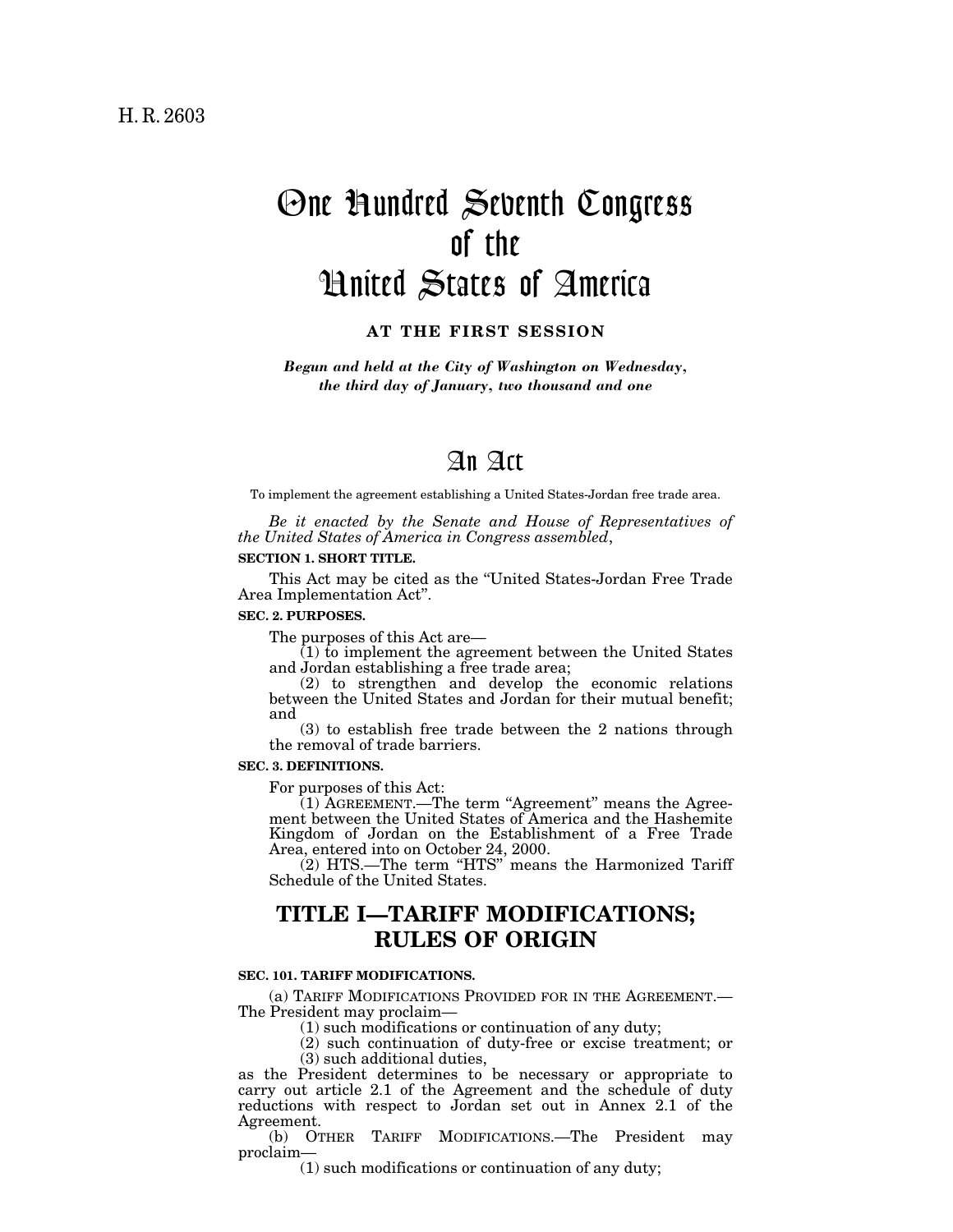# One Hundred Seventh Congress of the United States of America

**AT THE FIRST SESSION**

*Begun and held at the City of Washington on Wednesday, the third day of January, two thousand and one*

# An Act

To implement the agreement establishing a United States-Jordan free trade area.

*Be it enacted by the Senate and House of Representatives of the United States of America in Congress assembled*,

### **SECTION 1. SHORT TITLE.**

This Act may be cited as the ''United States-Jordan Free Trade Area Implementation Act''.

### **SEC. 2. PURPOSES.**

The purposes of this Act are—

(1) to implement the agreement between the United States and Jordan establishing a free trade area;

(2) to strengthen and develop the economic relations between the United States and Jordan for their mutual benefit; and

(3) to establish free trade between the 2 nations through the removal of trade barriers.

#### **SEC. 3. DEFINITIONS.**

For purposes of this Act:

(1) AGREEMENT.—The term "Agreement" means the Agreement between the United States of America and the Hashemite Kingdom of Jordan on the Establishment of a Free Trade Area, entered into on October 24, 2000.

(2) HTS.—The term ''HTS'' means the Harmonized Tariff Schedule of the United States.

# **TITLE I—TARIFF MODIFICATIONS; RULES OF ORIGIN**

# **SEC. 101. TARIFF MODIFICATIONS.**

(a) TARIFF MODIFICATIONS PROVIDED FOR IN THE AGREEMENT.— The President may proclaim—

(1) such modifications or continuation of any duty;

(2) such continuation of duty-free or excise treatment; or (3) such additional duties,

as the President determines to be necessary or appropriate to carry out article 2.1 of the Agreement and the schedule of duty reductions with respect to Jordan set out in Annex 2.1 of the Agreement.

(b) OTHER TARIFF MODIFICATIONS.—The President may proclaim—

(1) such modifications or continuation of any duty;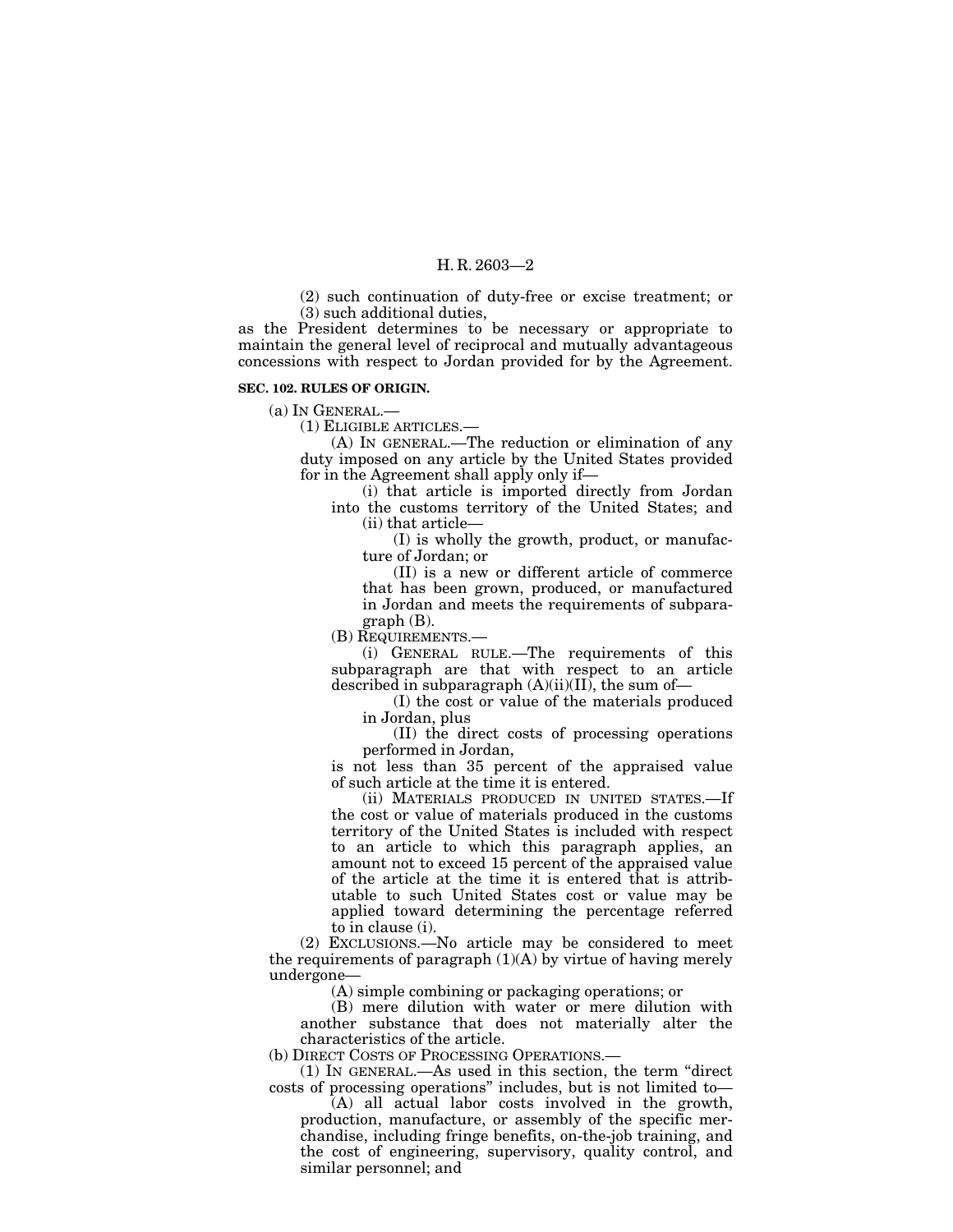(2) such continuation of duty-free or excise treatment; or (3) such additional duties,

as the President determines to be necessary or appropriate to maintain the general level of reciprocal and mutually advantageous concessions with respect to Jordan provided for by the Agreement.

#### **SEC. 102. RULES OF ORIGIN.**

(a) IN GENERAL.—

(1) ELIGIBLE ARTICLES.—

(A) IN GENERAL.—The reduction or elimination of any duty imposed on any article by the United States provided for in the Agreement shall apply only if—

(i) that article is imported directly from Jordan into the customs territory of the United States; and

(ii) that article—

(I) is wholly the growth, product, or manufacture of Jordan; or

(II) is a new or different article of commerce that has been grown, produced, or manufactured in Jordan and meets the requirements of subparagraph (B).

(B) REQUIREMENTS.—

(i) GENERAL RULE.—The requirements of this subparagraph are that with respect to an article described in subparagraph  $(A)(ii)(II)$ , the sum of-

(I) the cost or value of the materials produced in Jordan, plus

(II) the direct costs of processing operations performed in Jordan,

is not less than 35 percent of the appraised value of such article at the time it is entered.

(ii) MATERIALS PRODUCED IN UNITED STATES.—If the cost or value of materials produced in the customs territory of the United States is included with respect to an article to which this paragraph applies, an amount not to exceed 15 percent of the appraised value of the article at the time it is entered that is attributable to such United States cost or value may be applied toward determining the percentage referred to in clause (i).

(2) EXCLUSIONS.—No article may be considered to meet the requirements of paragraph  $(1)(A)$  by virtue of having merely undergone—

(A) simple combining or packaging operations; or

(B) mere dilution with water or mere dilution with another substance that does not materially alter the characteristics of the article.

(b) DIRECT COSTS OF PROCESSING OPERATIONS.—

(1) IN GENERAL.—As used in this section, the term ''direct costs of processing operations'' includes, but is not limited to—

(A) all actual labor costs involved in the growth, production, manufacture, or assembly of the specific merchandise, including fringe benefits, on-the-job training, and the cost of engineering, supervisory, quality control, and similar personnel; and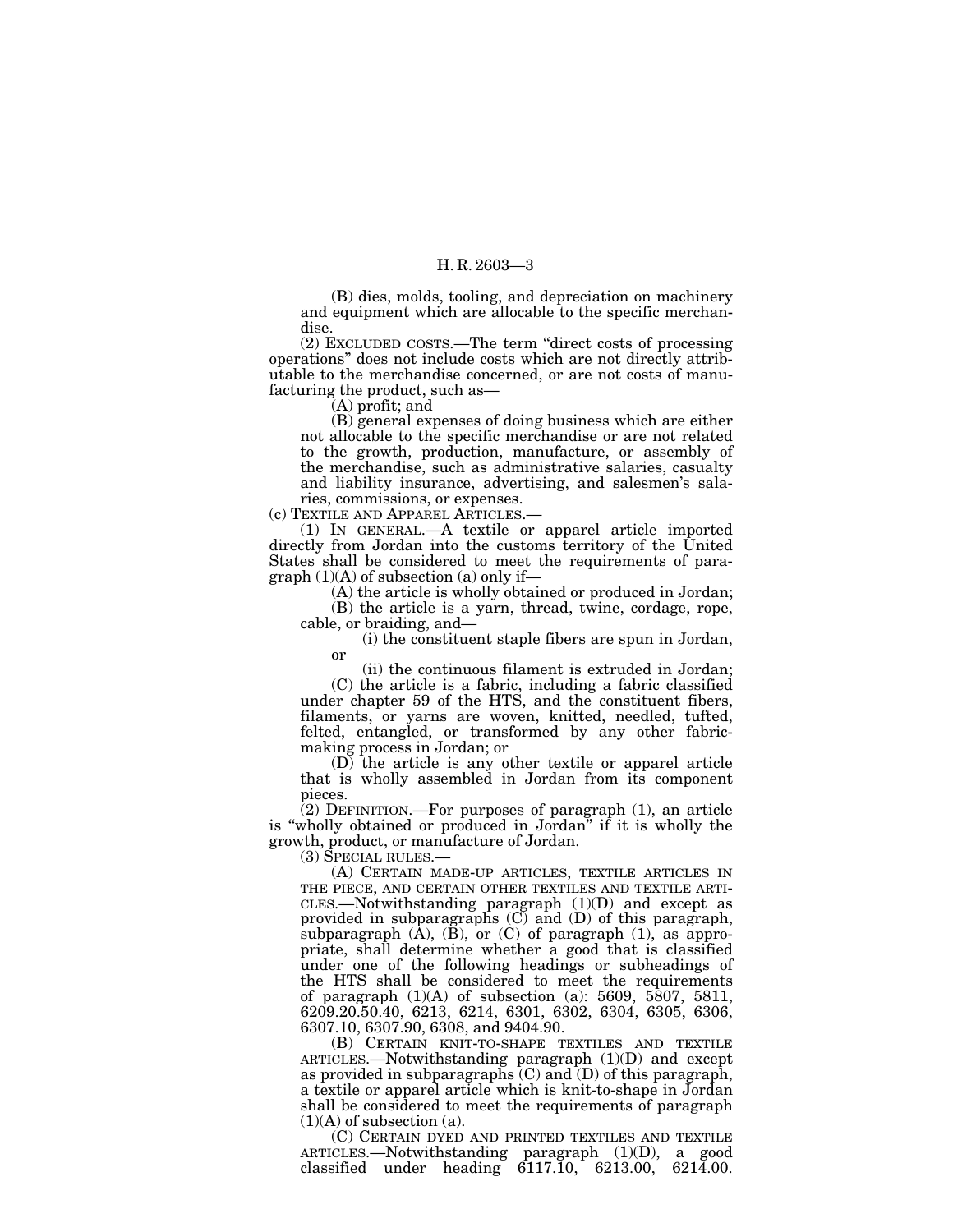(B) dies, molds, tooling, and depreciation on machinery and equipment which are allocable to the specific merchandise.

(2) EXCLUDED COSTS.—The term ''direct costs of processing operations'' does not include costs which are not directly attributable to the merchandise concerned, or are not costs of manufacturing the product, such as—

(A) profit; and

(B) general expenses of doing business which are either not allocable to the specific merchandise or are not related to the growth, production, manufacture, or assembly of the merchandise, such as administrative salaries, casualty and liability insurance, advertising, and salesmen's salaries, commissions, or expenses.

(c) TEXTILE AND APPAREL ARTICLES.—

(1) IN GENERAL.—A textile or apparel article imported directly from Jordan into the customs territory of the United States shall be considered to meet the requirements of para $graph (1)(A)$  of subsection (a) only if—

(A) the article is wholly obtained or produced in Jordan; (B) the article is a yarn, thread, twine, cordage, rope, cable, or braiding, and—

(i) the constituent staple fibers are spun in Jordan, or

(ii) the continuous filament is extruded in Jordan; (C) the article is a fabric, including a fabric classified under chapter 59 of the HTS, and the constituent fibers, filaments, or yarns are woven, knitted, needled, tufted, felted, entangled, or transformed by any other fabricmaking process in Jordan; or

(D) the article is any other textile or apparel article that is wholly assembled in Jordan from its component pieces.

(2) DEFINITION.—For purposes of paragraph (1), an article is "wholly obtained or produced in Jordan" if it is wholly the growth, product, or manufacture of Jordan.

(3) SPECIAL RULES.—

(A) CERTAIN MADE-UP ARTICLES, TEXTILE ARTICLES IN THE PIECE, AND CERTAIN OTHER TEXTILES AND TEXTILE ARTI-CLES.—Notwithstanding paragraph (1)(D) and except as provided in subparagraphs (C) and (D) of this paragraph, subparagraph  $(\overline{A})$ ,  $(\overline{B})$ , or  $(C)$  of paragraph  $(1)$ , as appropriate, shall determine whether a good that is classified under one of the following headings or subheadings of the HTS shall be considered to meet the requirements of paragraph (1)(A) of subsection (a): 5609, 5807, 5811, 6209.20.50.40, 6213, 6214, 6301, 6302, 6304, 6305, 6306, 6307.10, 6307.90, 6308, and 9404.90.

(B) CERTAIN KNIT-TO-SHAPE TEXTILES AND TEXTILE ARTICLES.—Notwithstanding paragraph (1)(D) and except as provided in subparagraphs (C) and (D) of this paragraph, a textile or apparel article which is knit-to-shape in Jordan shall be considered to meet the requirements of paragraph  $(1)(A)$  of subsection  $(a)$ .

(C) CERTAIN DYED AND PRINTED TEXTILES AND TEXTILE ARTICLES.—Notwithstanding paragraph (1)(D), a good classified under heading 6117.10, 6213.00, 6214.00.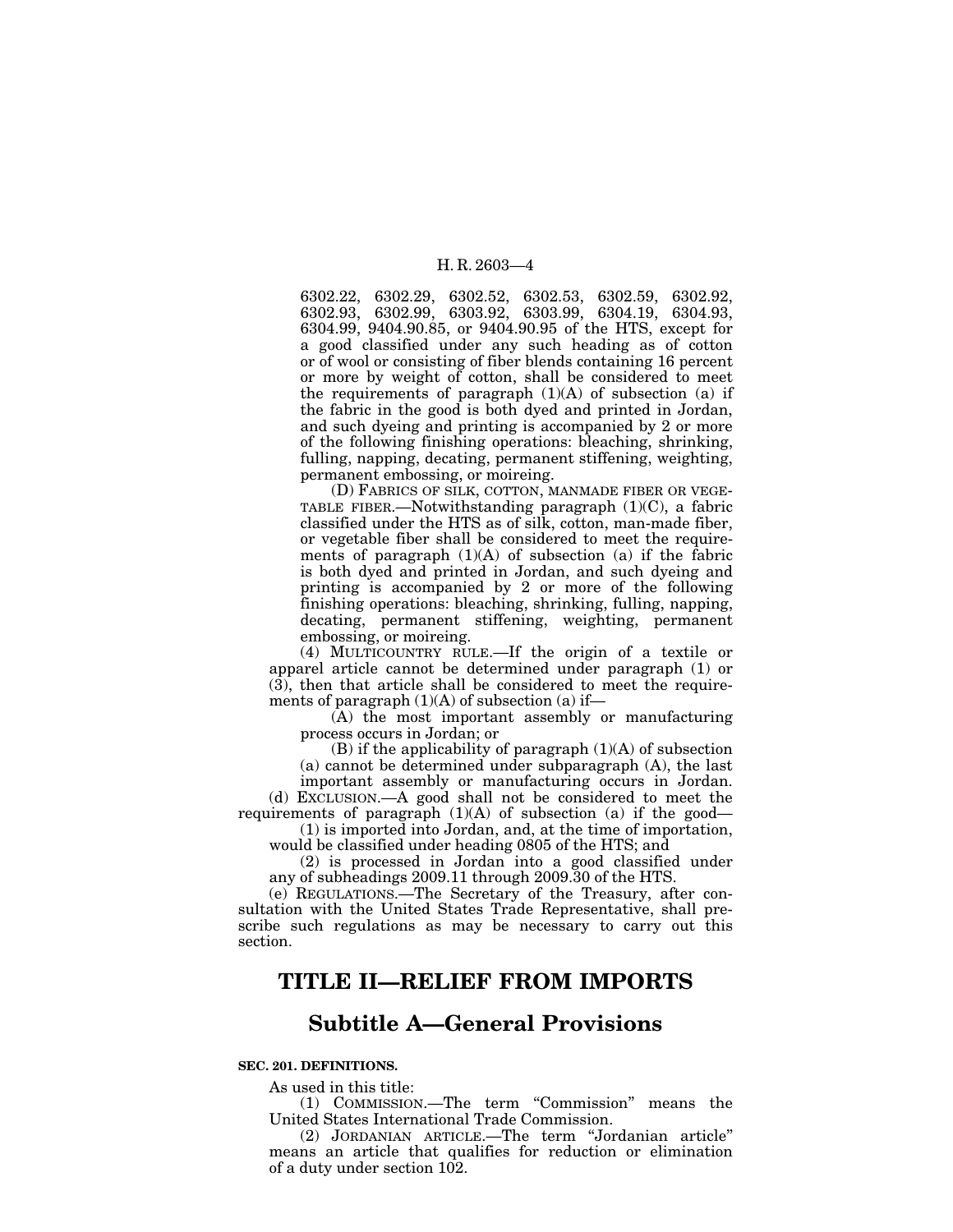6302.22, 6302.29, 6302.52, 6302.53, 6302.59, 6302.92, 6302.93, 6302.99, 6303.92, 6303.99, 6304.19, 6304.93, 6304.99, 9404.90.85, or 9404.90.95 of the HTS, except for a good classified under any such heading as of cotton or of wool or consisting of fiber blends containing 16 percent or more by weight of cotton, shall be considered to meet the requirements of paragraph (1)(A) of subsection (a) if the fabric in the good is both dyed and printed in Jordan, and such dyeing and printing is accompanied by 2 or more of the following finishing operations: bleaching, shrinking, fulling, napping, decating, permanent stiffening, weighting, permanent embossing, or moireing.

(D) FABRICS OF SILK, COTTON, MANMADE FIBER OR VEGE-TABLE FIBER.—Notwithstanding paragraph (1)(C), a fabric classified under the HTS as of silk, cotton, man-made fiber, or vegetable fiber shall be considered to meet the requirements of paragraph  $(1)(A)$  of subsection  $(a)$  if the fabric is both dyed and printed in Jordan, and such dyeing and printing is accompanied by 2 or more of the following finishing operations: bleaching, shrinking, fulling, napping, decating, permanent stiffening, weighting, permanent embossing, or moireing.

(4) MULTICOUNTRY RULE.—If the origin of a textile or apparel article cannot be determined under paragraph (1) or (3), then that article shall be considered to meet the requirements of paragraph  $(1)(A)$  of subsection  $(a)$  if—

(A) the most important assembly or manufacturing process occurs in Jordan; or

 $(B)$  if the applicability of paragraph  $(1)(A)$  of subsection (a) cannot be determined under subparagraph (A), the last important assembly or manufacturing occurs in Jordan.

(d) EXCLUSION.—A good shall not be considered to meet the requirements of paragraph  $(1)(A)$  of subsection  $(a)$  if the good-

(1) is imported into Jordan, and, at the time of importation, would be classified under heading 0805 of the HTS; and

(2) is processed in Jordan into a good classified under any of subheadings 2009.11 through 2009.30 of the HTS.

(e) REGULATIONS.—The Secretary of the Treasury, after consultation with the United States Trade Representative, shall prescribe such regulations as may be necessary to carry out this section.

# **TITLE II—RELIEF FROM IMPORTS**

# **Subtitle A—General Provisions**

### **SEC. 201. DEFINITIONS.**

As used in this title:

(1) COMMISSION.—The term ''Commission'' means the United States International Trade Commission.

(2) JORDANIAN ARTICLE.—The term ''Jordanian article'' means an article that qualifies for reduction or elimination of a duty under section 102.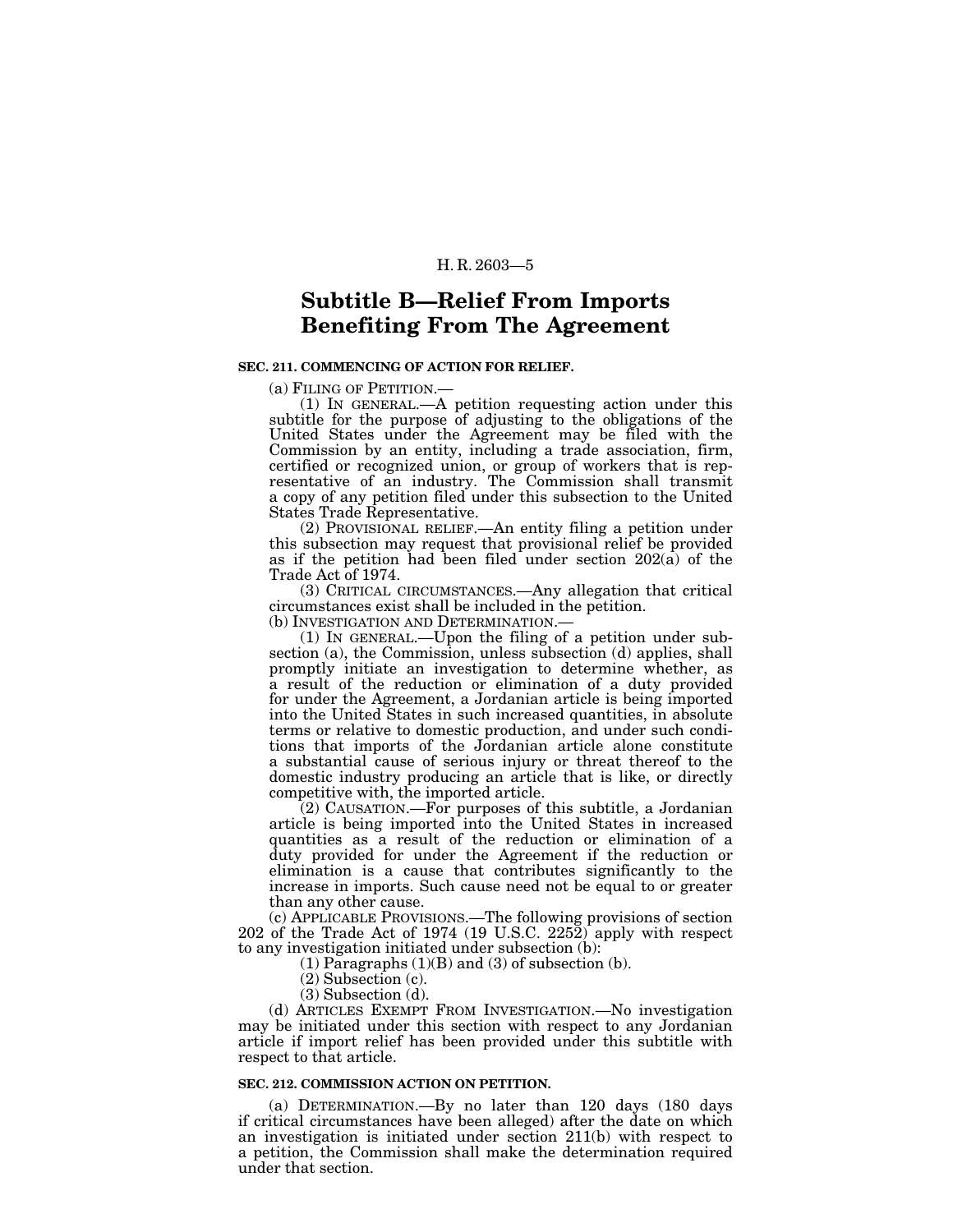# **Subtitle B—Relief From Imports Benefiting From The Agreement**

### **SEC. 211. COMMENCING OF ACTION FOR RELIEF.**

(a) FILING OF PETITION.—

(1) IN GENERAL.—A petition requesting action under this subtitle for the purpose of adjusting to the obligations of the United States under the Agreement may be filed with the Commission by an entity, including a trade association, firm, certified or recognized union, or group of workers that is representative of an industry. The Commission shall transmit a copy of any petition filed under this subsection to the United States Trade Representative.

(2) PROVISIONAL RELIEF.—An entity filing a petition under this subsection may request that provisional relief be provided as if the petition had been filed under section  $202(\hat{a})$  of the Trade Act of 1974.

(3) CRITICAL CIRCUMSTANCES.—Any allegation that critical circumstances exist shall be included in the petition.

(b) INVESTIGATION AND DETERMINATION.—

(1) IN GENERAL.—Upon the filing of a petition under subsection (a), the Commission, unless subsection (d) applies, shall promptly initiate an investigation to determine whether, as a result of the reduction or elimination of a duty provided for under the Agreement, a Jordanian article is being imported into the United States in such increased quantities, in absolute terms or relative to domestic production, and under such conditions that imports of the Jordanian article alone constitute a substantial cause of serious injury or threat thereof to the domestic industry producing an article that is like, or directly competitive with, the imported article.

(2) CAUSATION.—For purposes of this subtitle, a Jordanian article is being imported into the United States in increased quantities as a result of the reduction or elimination of a duty provided for under the Agreement if the reduction or elimination is a cause that contributes significantly to the increase in imports. Such cause need not be equal to or greater than any other cause.

(c) APPLICABLE PROVISIONS.—The following provisions of section 202 of the Trade Act of 1974 (19 U.S.C. 2252) apply with respect to any investigation initiated under subsection (b):

 $(1)$  Paragraphs  $(1)(B)$  and  $(3)$  of subsection  $(b)$ .

(2) Subsection (c).

(3) Subsection (d).

(d) ARTICLES EXEMPT FROM INVESTIGATION.—No investigation may be initiated under this section with respect to any Jordanian article if import relief has been provided under this subtitle with respect to that article.

#### **SEC. 212. COMMISSION ACTION ON PETITION.**

(a) DETERMINATION.—By no later than 120 days (180 days if critical circumstances have been alleged) after the date on which an investigation is initiated under section 211(b) with respect to a petition, the Commission shall make the determination required under that section.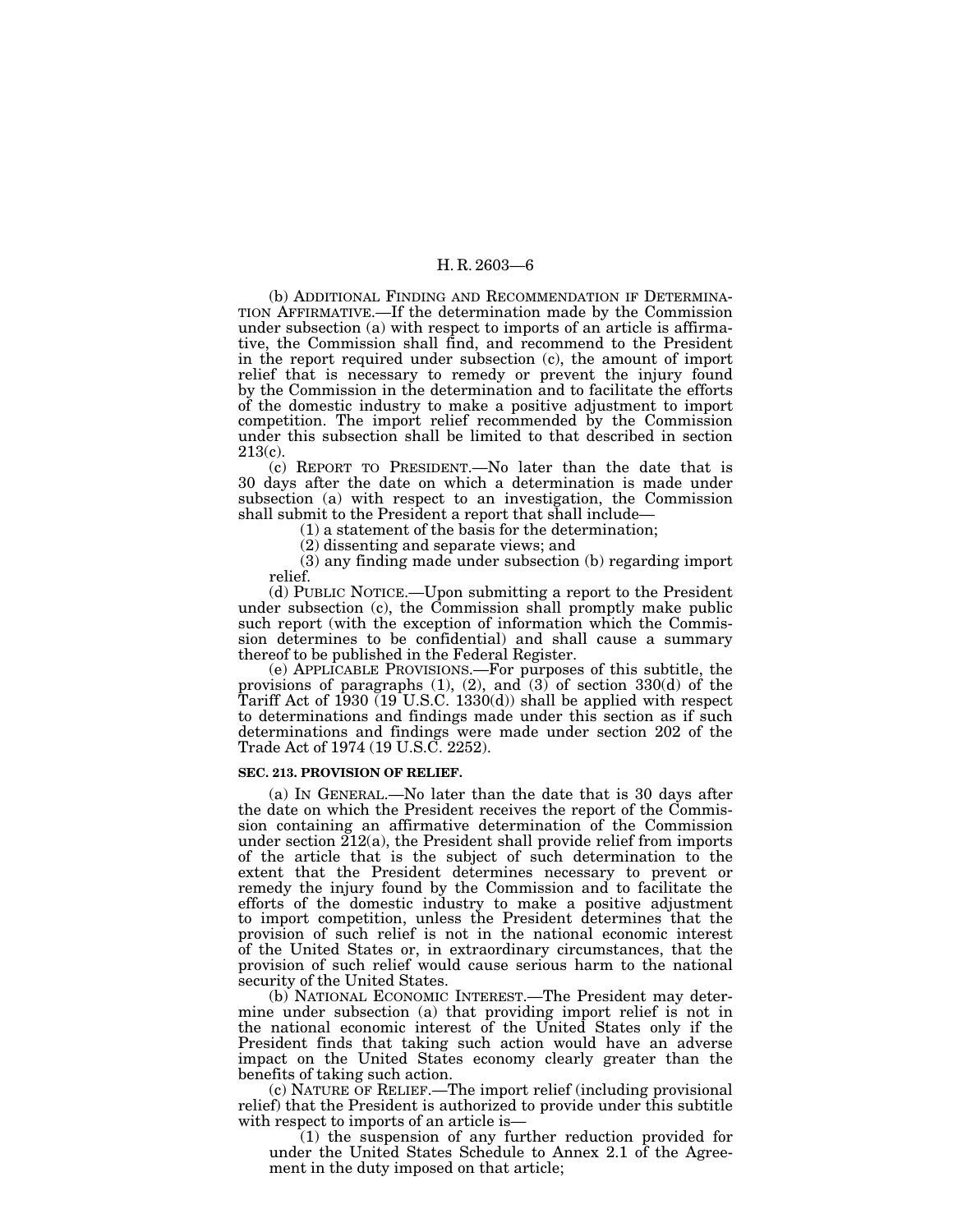(b) ADDITIONAL FINDING AND RECOMMENDATION IF DETERMINA-TION AFFIRMATIVE.—If the determination made by the Commission under subsection (a) with respect to imports of an article is affirmative, the Commission shall find, and recommend to the President in the report required under subsection (c), the amount of import relief that is necessary to remedy or prevent the injury found by the Commission in the determination and to facilitate the efforts of the domestic industry to make a positive adjustment to import competition. The import relief recommended by the Commission under this subsection shall be limited to that described in section 213(c).

(c) REPORT TO PRESIDENT.—No later than the date that is 30 days after the date on which a determination is made under subsection (a) with respect to an investigation, the Commission shall submit to the President a report that shall include—

(1) a statement of the basis for the determination;

(2) dissenting and separate views; and

(3) any finding made under subsection (b) regarding import relief.

(d) PUBLIC NOTICE.—Upon submitting a report to the President under subsection (c), the Commission shall promptly make public such report (with the exception of information which the Commission determines to be confidential) and shall cause a summary thereof to be published in the Federal Register.

(e) APPLICABLE PROVISIONS.—For purposes of this subtitle, the provisions of paragraphs (1), (2), and (3) of section 330(d) of the Tariff Act of 1930 (19 U.S.C. 1330(d)) shall be applied with respect to determinations and findings made under this section as if such determinations and findings were made under section 202 of the Trade Act of 1974 (19 U.S.C. 2252).

#### **SEC. 213. PROVISION OF RELIEF.**

(a) IN GENERAL.—No later than the date that is 30 days after the date on which the President receives the report of the Commission containing an affirmative determination of the Commission under section 212(a), the President shall provide relief from imports of the article that is the subject of such determination to the extent that the President determines necessary to prevent or remedy the injury found by the Commission and to facilitate the efforts of the domestic industry to make a positive adjustment to import competition, unless the President determines that the provision of such relief is not in the national economic interest of the United States or, in extraordinary circumstances, that the provision of such relief would cause serious harm to the national security of the United States.

(b) NATIONAL ECONOMIC INTEREST.—The President may determine under subsection (a) that providing import relief is not in the national economic interest of the United States only if the President finds that taking such action would have an adverse impact on the United States economy clearly greater than the benefits of taking such action.

(c) NATURE OF RELIEF.—The import relief (including provisional relief) that the President is authorized to provide under this subtitle

 $(1)$  the suspension of any further reduction provided for under the United States Schedule to Annex 2.1 of the Agreement in the duty imposed on that article;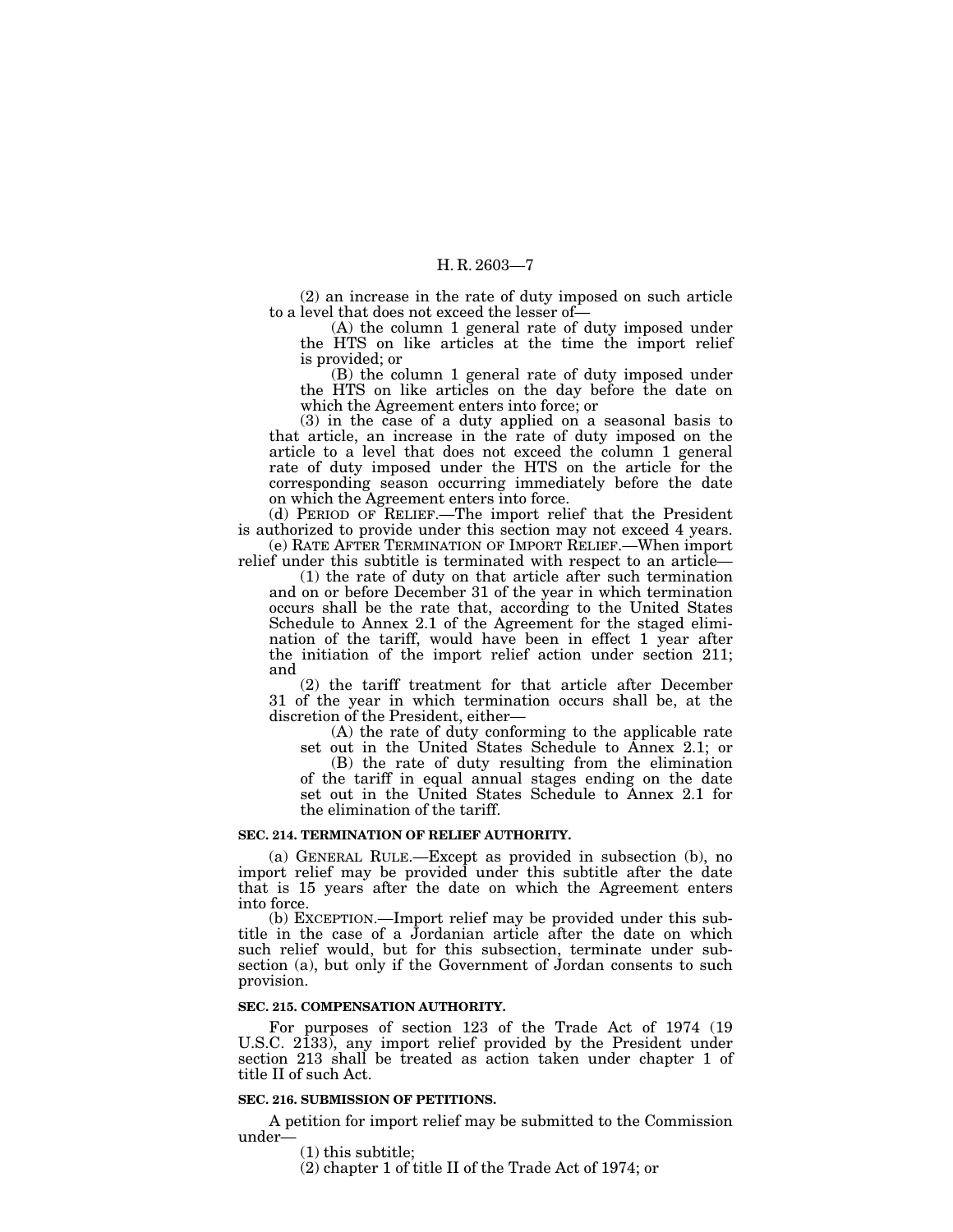(2) an increase in the rate of duty imposed on such article to a level that does not exceed the lesser of—

(A) the column 1 general rate of duty imposed under the HTS on like articles at the time the import relief is provided; or

(B) the column 1 general rate of duty imposed under the HTS on like articles on the day before the date on which the Agreement enters into force; or

(3) in the case of a duty applied on a seasonal basis to that article, an increase in the rate of duty imposed on the article to a level that does not exceed the column 1 general rate of duty imposed under the HTS on the article for the corresponding season occurring immediately before the date on which the Agreement enters into force.

(d) PERIOD OF RELIEF.—The import relief that the President is authorized to provide under this section may not exceed 4 years. (e) RATE AFTER TERMINATION OF IMPORT RELIEF.—When import

relief under this subtitle is terminated with respect to an article—

(1) the rate of duty on that article after such termination and on or before December 31 of the year in which termination occurs shall be the rate that, according to the United States Schedule to Annex 2.1 of the Agreement for the staged elimination of the tariff, would have been in effect 1 year after the initiation of the import relief action under section 211; and

(2) the tariff treatment for that article after December 31 of the year in which termination occurs shall be, at the discretion of the President, either—

(A) the rate of duty conforming to the applicable rate set out in the United States Schedule to Annex 2.1; or

(B) the rate of duty resulting from the elimination of the tariff in equal annual stages ending on the date set out in the United States Schedule to Annex 2.1 for the elimination of the tariff.

#### **SEC. 214. TERMINATION OF RELIEF AUTHORITY.**

(a) GENERAL RULE.—Except as provided in subsection (b), no import relief may be provided under this subtitle after the date that is 15 years after the date on which the Agreement enters into force.

(b) EXCEPTION.—Import relief may be provided under this subtitle in the case of a Jordanian article after the date on which such relief would, but for this subsection, terminate under subsection (a), but only if the Government of Jordan consents to such provision.

#### **SEC. 215. COMPENSATION AUTHORITY.**

For purposes of section 123 of the Trade Act of 1974 (19 U.S.C. 2133), any import relief provided by the President under section 213 shall be treated as action taken under chapter 1 of title II of such Act.

#### **SEC. 216. SUBMISSION OF PETITIONS.**

A petition for import relief may be submitted to the Commission

 $(1)$  this subtitle;

(2) chapter 1 of title II of the Trade Act of 1974; or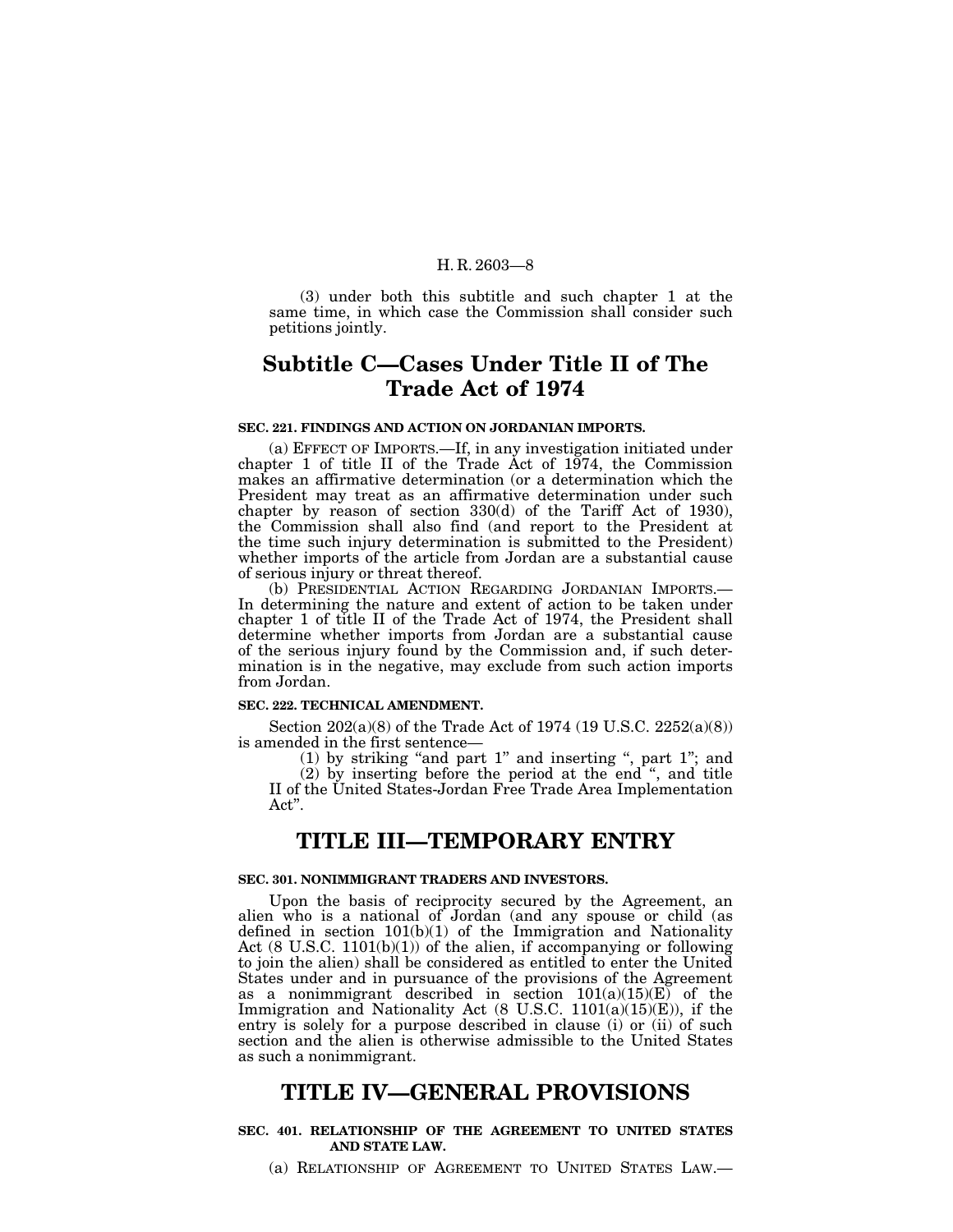(3) under both this subtitle and such chapter 1 at the same time, in which case the Commission shall consider such petitions jointly.

# **Subtitle C—Cases Under Title II of The Trade Act of 1974**

#### **SEC. 221. FINDINGS AND ACTION ON JORDANIAN IMPORTS.**

(a) EFFECT OF IMPORTS.—If, in any investigation initiated under chapter 1 of title II of the Trade Act of 1974, the Commission makes an affirmative determination (or a determination which the President may treat as an affirmative determination under such chapter by reason of section 330(d) of the Tariff Act of 1930), the Commission shall also find (and report to the President at the time such injury determination is submitted to the President) whether imports of the article from Jordan are a substantial cause of serious injury or threat thereof.<br>
(b) PRESIDENTIAL ACTION REGARDING JORDANIAN IMPORTS.

In determining the nature and extent of action to be taken under chapter 1 of title II of the Trade Act of 1974, the President shall determine whether imports from Jordan are a substantial cause of the serious injury found by the Commission and, if such determination is in the negative, may exclude from such action imports from Jordan.

#### **SEC. 222. TECHNICAL AMENDMENT.**

Section 202(a)(8) of the Trade Act of 1974 (19 U.S.C. 2252(a)(8)) is amended in the first sentence—

(1) by striking "and part  $1$ " and inserting ", part  $1$ "; and (2) by inserting before the period at the end '', and title II of the United States-Jordan Free Trade Area Implementation Act''.

# **TITLE III—TEMPORARY ENTRY**

### **SEC. 301. NONIMMIGRANT TRADERS AND INVESTORS.**

Upon the basis of reciprocity secured by the Agreement, an alien who is a national of Jordan (and any spouse or child (as defined in section 101(b)(1) of the Immigration and Nationality Act  $(8 \text{ U.S.C. } 1101(b)(1))$  of the alien, if accompanying or following to join the alien) shall be considered as entitled to enter the United States under and in pursuance of the provisions of the Agreement as a nonimmigrant described in section 101(a)(15)(E) of the Immigration and Nationality Act (8 U.S.C. 1101(a)(15)(E)), if the entry is solely for a purpose described in clause (i) or (ii) of such section and the alien is otherwise admissible to the United States as such a nonimmigrant.

# **TITLE IV—GENERAL PROVISIONS**

### **SEC. 401. RELATIONSHIP OF THE AGREEMENT TO UNITED STATES AND STATE LAW.**

(a) RELATIONSHIP OF AGREEMENT TO UNITED STATES LAW.—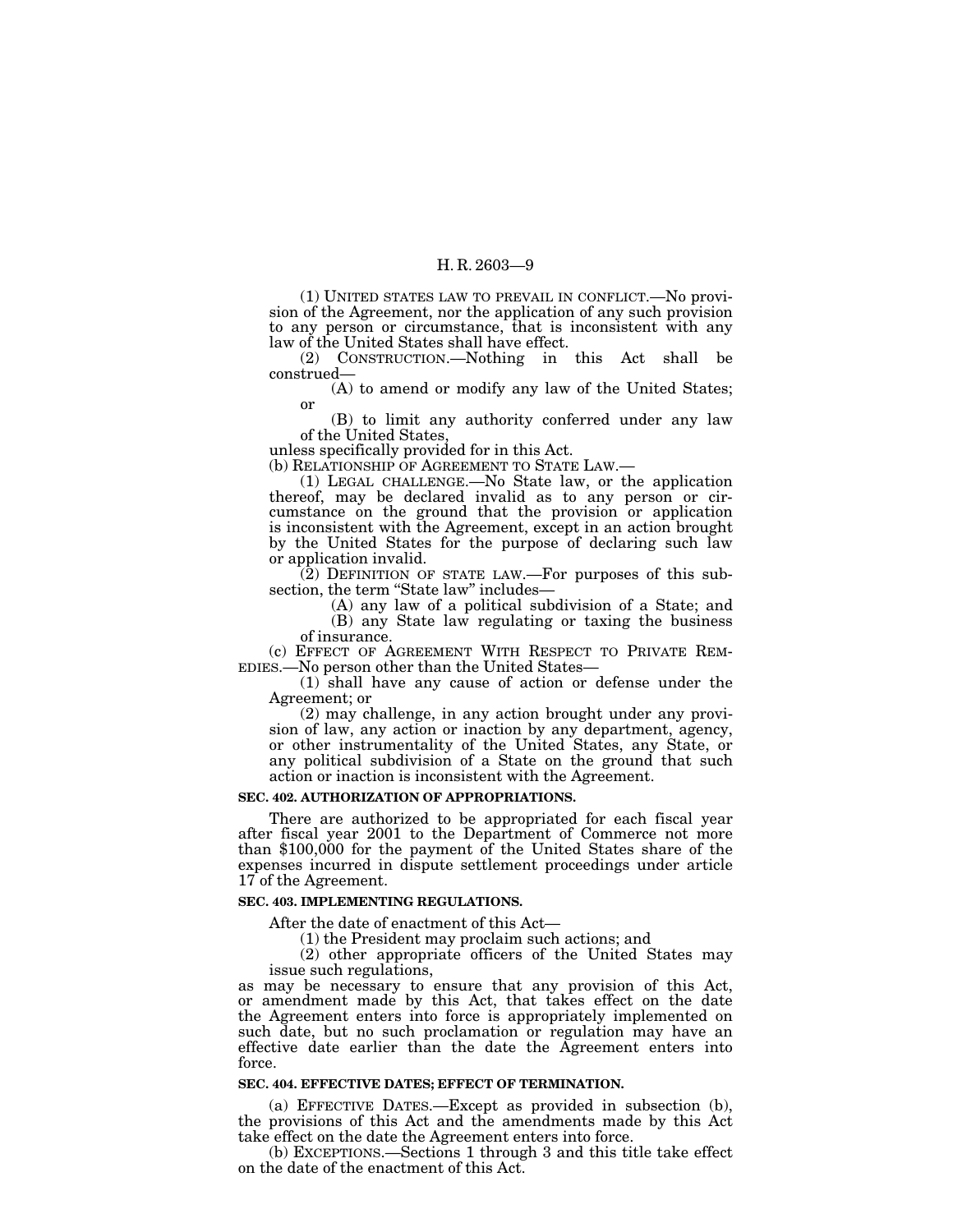(1) UNITED STATES LAW TO PREVAIL IN CONFLICT.—No provision of the Agreement, nor the application of any such provision to any person or circumstance, that is inconsistent with any law of the United States shall have effect.

(2) CONSTRUCTION.—Nothing in this Act shall be construed—

(A) to amend or modify any law of the United States; or

(B) to limit any authority conferred under any law of the United States,

unless specifically provided for in this Act.

(b) RELATIONSHIP OF AGREEMENT TO STATE LAW.— (1) LEGAL CHALLENGE.—No State law, or the application thereof, may be declared invalid as to any person or circumstance on the ground that the provision or application is inconsistent with the Agreement, except in an action brought by the United States for the purpose of declaring such law or application invalid.

(2) DEFINITION OF STATE LAW.—For purposes of this sub-

 $(A)$  any law of a political subdivision of a State; and (B) any State law regulating or taxing the business

of insurance.<br>(c) EFFECT OF AGREEMENT WITH RESPECT TO PRIVATE REM-

EDIES.—No person other than the United States—<br>(1) shall have any cause of action or defense under the Agreement; or

(2) may challenge, in any action brought under any provision of law, any action or inaction by any department, agency, or other instrumentality of the United States, any State, or any political subdivision of a State on the ground that such action or inaction is inconsistent with the Agreement.

#### **SEC. 402. AUTHORIZATION OF APPROPRIATIONS.**

There are authorized to be appropriated for each fiscal year after fiscal year 2001 to the Department of Commerce not more than \$100,000 for the payment of the United States share of the expenses incurred in dispute settlement proceedings under article 17 of the Agreement.

#### **SEC. 403. IMPLEMENTING REGULATIONS.**

After the date of enactment of this Act—

(1) the President may proclaim such actions; and

(2) other appropriate officers of the United States may issue such regulations,

as may be necessary to ensure that any provision of this Act, or amendment made by this Act, that takes effect on the date the Agreement enters into force is appropriately implemented on such date, but no such proclamation or regulation may have an effective date earlier than the date the Agreement enters into force.

#### **SEC. 404. EFFECTIVE DATES; EFFECT OF TERMINATION.**

(a) EFFECTIVE DATES.—Except as provided in subsection (b), the provisions of this Act and the amendments made by this Act take effect on the date the Agreement enters into force.

(b) EXCEPTIONS.—Sections 1 through 3 and this title take effect on the date of the enactment of this Act.